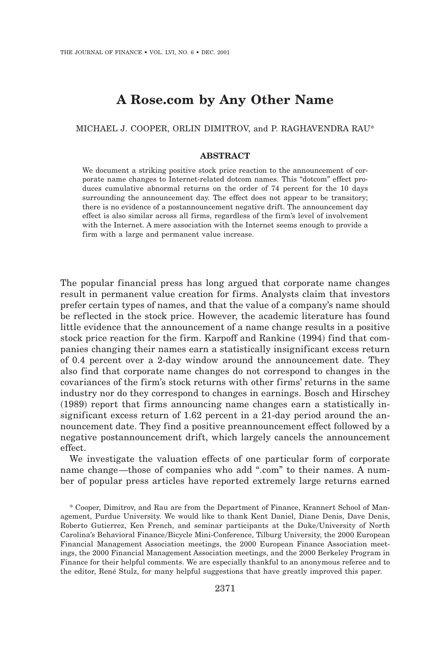# **A Rose.com by Any Other Name**

MICHAEL J. COOPER, ORLIN DIMITROV, and P. RAGHAVENDRA RAU\*

#### **ABSTRACT**

We document a striking positive stock price reaction to the announcement of corporate name changes to Internet-related dotcom names. This "dotcom" effect produces cumulative abnormal returns on the order of 74 percent for the 10 days surrounding the announcement day. The effect does not appear to be transitory; there is no evidence of a postannouncement negative drift. The announcement day effect is also similar across all firms, regardless of the firm's level of involvement with the Internet. A mere association with the Internet seems enough to provide a firm with a large and permanent value increase.

The popular financial press has long argued that corporate name changes result in permanent value creation for firms. Analysts claim that investors prefer certain types of names, and that the value of a company's name should be reflected in the stock price. However, the academic literature has found little evidence that the announcement of a name change results in a positive stock price reaction for the firm. Karpoff and Rankine  $(1994)$  find that companies changing their names earn a statistically insignificant excess return of 0.4 percent over a 2-day window around the announcement date. They also find that corporate name changes do not correspond to changes in the covariances of the firm's stock returns with other firms' returns in the same industry nor do they correspond to changes in earnings. Bosch and Hirschey  $(1989)$  report that firms announcing name changes earn a statistically insignificant excess return of 1.62 percent in a 21-day period around the announcement date. They find a positive preannouncement effect followed by a negative postannouncement drift, which largely cancels the announcement effect.

We investigate the valuation effects of one particular form of corporate name change—those of companies who add ".com" to their names. A number of popular press articles have reported extremely large returns earned

\* Cooper, Dimitrov, and Rau are from the Department of Finance, Krannert School of Management, Purdue University. We would like to thank Kent Daniel, Diane Denis, Dave Denis, Roberto Gutierrez, Ken French, and seminar participants at the Duke/University of North Carolina's Behavioral Finance/Bicycle Mini-Conference, Tilburg University, the 2000 European Financial Management Association meetings, the 2000 European Finance Association meetings, the 2000 Financial Management Association meetings, and the 2000 Berkeley Program in Finance for their helpful comments. We are especially thankful to an anonymous referee and to the editor, René Stulz, for many helpful suggestions that have greatly improved this paper.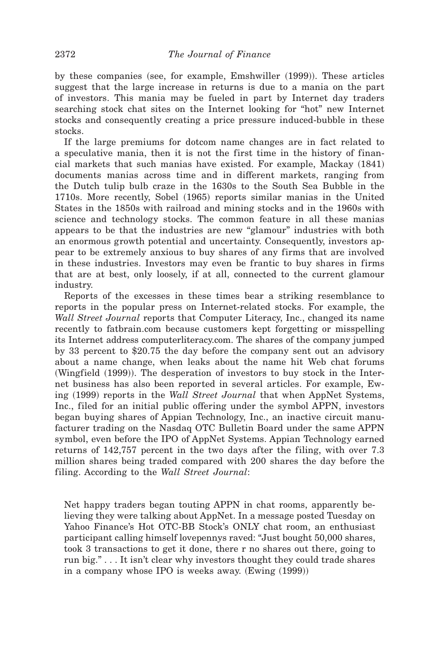by these companies (see, for example, Emshwiller  $(1999)$ ). These articles suggest that the large increase in returns is due to a mania on the part of investors. This mania may be fueled in part by Internet day traders searching stock chat sites on the Internet looking for "hot" new Internet stocks and consequently creating a price pressure induced-bubble in these stocks.

If the large premiums for dotcom name changes are in fact related to a speculative mania, then it is not the first time in the history of financial markets that such manias have existed. For example, Mackay  $(1841)$ documents manias across time and in different markets, ranging from the Dutch tulip bulb craze in the 1630s to the South Sea Bubble in the 1710s. More recently, Sobel (1965) reports similar manias in the United States in the 1850s with railroad and mining stocks and in the 1960s with science and technology stocks. The common feature in all these manias appears to be that the industries are new "glamour" industries with both an enormous growth potential and uncertainty. Consequently, investors appear to be extremely anxious to buy shares of any firms that are involved in these industries. Investors may even be frantic to buy shares in firms that are at best, only loosely, if at all, connected to the current glamour industry.

Reports of the excesses in these times bear a striking resemblance to reports in the popular press on Internet-related stocks. For example, the *Wall Street Journal* reports that Computer Literacy, Inc., changed its name recently to fatbrain.com because customers kept forgetting or misspelling its Internet address computerliteracy.com. The shares of the company jumped by 33 percent to \$20.75 the day before the company sent out an advisory about a name change, when leaks about the name hit Web chat forums (Wingfield  $(1999)$ ). The desperation of investors to buy stock in the Internet business has also been reported in several articles. For example, Ewing (1999) reports in the *Wall Street Journal* that when AppNet Systems, Inc., filed for an initial public offering under the symbol APPN, investors began buying shares of Appian Technology, Inc., an inactive circuit manufacturer trading on the Nasdaq OTC Bulletin Board under the same APPN symbol, even before the IPO of AppNet Systems. Appian Technology earned returns of 142,757 percent in the two days after the filing, with over 7.3 million shares being traded compared with 200 shares the day before the filing. According to the *Wall Street Journal*:

Net happy traders began touting APPN in chat rooms, apparently believing they were talking about AppNet. In a message posted Tuesday on Yahoo Finance's Hot OTC-BB Stock's ONLY chat room, an enthusiast participant calling himself lovepennys raved: "Just bought 50,000 shares, took 3 transactions to get it done, there r no shares out there, going to run big." . . . It isn't clear why investors thought they could trade shares in a company whose IPO is weeks away.  $(Ewing (1999))$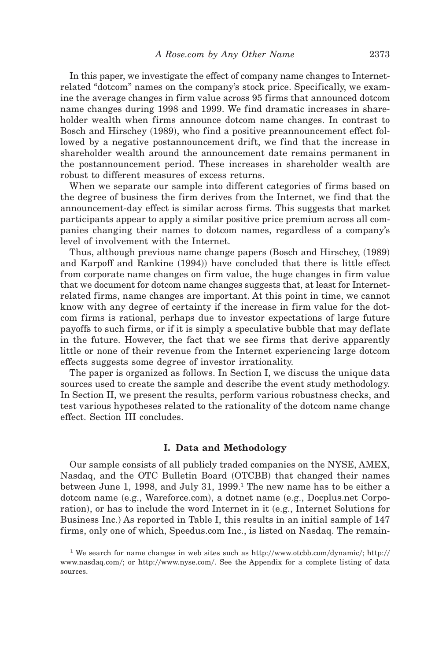In this paper, we investigate the effect of company name changes to Internetrelated "dotcom" names on the company's stock price. Specifically, we examine the average changes in firm value across 95 firms that announced dotcom name changes during 1998 and 1999. We find dramatic increases in shareholder wealth when firms announce dotcom name changes. In contrast to Bosch and Hirschey (1989), who find a positive preannouncement effect followed by a negative postannouncement drift, we find that the increase in shareholder wealth around the announcement date remains permanent in the postannouncement period. These increases in shareholder wealth are robust to different measures of excess returns.

When we separate our sample into different categories of firms based on the degree of business the firm derives from the Internet, we find that the announcement-day effect is similar across firms. This suggests that market participants appear to apply a similar positive price premium across all companies changing their names to dotcom names, regardless of a company's level of involvement with the Internet.

Thus, although previous name change papers (Bosch and Hirschey,  $(1989)$ ) and Karpoff and Rankine  $(1994)$  have concluded that there is little effect from corporate name changes on firm value, the huge changes in firm value that we document for dotcom name changes suggests that, at least for Internetrelated firms, name changes are important. At this point in time, we cannot know with any degree of certainty if the increase in firm value for the dotcom firms is rational, perhaps due to investor expectations of large future payoffs to such firms, or if it is simply a speculative bubble that may deflate in the future. However, the fact that we see firms that derive apparently little or none of their revenue from the Internet experiencing large dotcom effects suggests some degree of investor irrationality.

The paper is organized as follows. In Section I, we discuss the unique data sources used to create the sample and describe the event study methodology. In Section II, we present the results, perform various robustness checks, and test various hypotheses related to the rationality of the dotcom name change effect. Section III concludes.

#### **I. Data and Methodology**

Our sample consists of all publicly traded companies on the NYSE, AMEX, Nasdaq, and the OTC Bulletin Board (OTCBB) that changed their names between June 1, 1998, and July 31, 1999.1 The new name has to be either a dotcom name  $(e.g., Wareforce.com)$ , a dotnet name  $(e.g., Docplus.net$  Corporation), or has to include the word Internet in it (e.g., Internet Solutions for Business Inc.! As reported in Table I, this results in an initial sample of 147 firms, only one of which, Speedus.com Inc., is listed on Nasdaq. The remain-

<sup>&</sup>lt;sup>1</sup> We search for name changes in web sites such as http://www.otcbb.com/dynamic/; http:// www.nasdaq.com/; or http://www.nyse.com/. See the Appendix for a complete listing of data sources.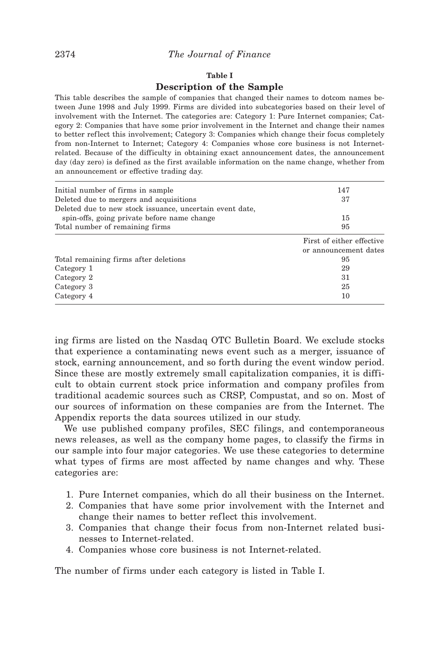### 2374 *The Journal of Finance*

#### **Table I**

# **Description of the Sample**

This table describes the sample of companies that changed their names to dotcom names between June 1998 and July 1999. Firms are divided into subcategories based on their level of involvement with the Internet. The categories are: Category 1: Pure Internet companies; Category 2: Companies that have some prior involvement in the Internet and change their names to better reflect this involvement; Category 3: Companies which change their focus completely from non-Internet to Internet; Category 4: Companies whose core business is not Internetrelated. Because of the difficulty in obtaining exact announcement dates, the announcement day (day zero) is defined as the first available information on the name change, whether from an announcement or effective trading day.

| Initial number of firms in sample.                       | 147                       |
|----------------------------------------------------------|---------------------------|
| Deleted due to mergers and acquisitions                  | 37                        |
| Deleted due to new stock issuance, uncertain event date, |                           |
| spin-offs, going private before name change              | 15                        |
| Total number of remaining firms                          | 95                        |
|                                                          | First of either effective |
|                                                          | or announcement dates     |
| Total remaining firms after deletions                    | 95                        |
| Category 1                                               | 29                        |
| Category 2                                               | 31                        |
| Category 3                                               | 25                        |
| Category 4                                               | 10                        |
|                                                          |                           |

ing firms are listed on the Nasdaq OTC Bulletin Board. We exclude stocks that experience a contaminating news event such as a merger, issuance of stock, earning announcement, and so forth during the event window period. Since these are mostly extremely small capitalization companies, it is difficult to obtain current stock price information and company profiles from traditional academic sources such as CRSP, Compustat, and so on. Most of our sources of information on these companies are from the Internet. The Appendix reports the data sources utilized in our study.

We use published company profiles, SEC filings, and contemporaneous news releases, as well as the company home pages, to classify the firms in our sample into four major categories. We use these categories to determine what types of firms are most affected by name changes and why. These categories are:

- 1. Pure Internet companies, which do all their business on the Internet.
- 2. Companies that have some prior involvement with the Internet and change their names to better reflect this involvement.
- 3. Companies that change their focus from non-Internet related businesses to Internet-related.
- 4. Companies whose core business is not Internet-related.

The number of firms under each category is listed in Table I.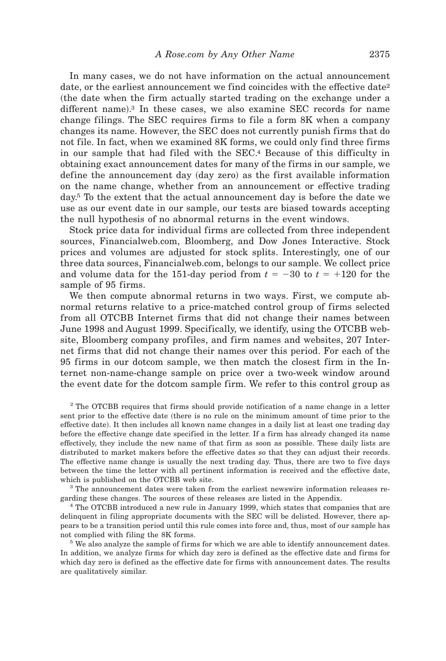In many cases, we do not have information on the actual announcement date, or the earliest announcement we find coincides with the effective date<sup>2</sup> (the date when the firm actually started trading on the exchange under a different name).<sup>3</sup> In these cases, we also examine SEC records for name change filings. The SEC requires firms to file a form 8K when a company changes its name. However, the SEC does not currently punish firms that do not file. In fact, when we examined 8K forms, we could only find three firms in our sample that had filed with the SEC.4 Because of this difficulty in obtaining exact announcement dates for many of the firms in our sample, we define the announcement day (day zero) as the first available information on the name change, whether from an announcement or effective trading day.5 To the extent that the actual announcement day is before the date we use as our event date in our sample, our tests are biased towards accepting the null hypothesis of no abnormal returns in the event windows.

Stock price data for individual firms are collected from three independent sources, Financialweb.com, Bloomberg, and Dow Jones Interactive. Stock prices and volumes are adjusted for stock splits. Interestingly, one of our three data sources, Financialweb.com, belongs to our sample. We collect price and volume data for the 151-day period from  $t = -30$  to  $t = +120$  for the sample of 95 firms.

We then compute abnormal returns in two ways. First, we compute abnormal returns relative to a price-matched control group of firms selected from all OTCBB Internet firms that did not change their names between June 1998 and August 1999. Specifically, we identify, using the OTCBB website, Bloomberg company profiles, and firm names and websites, 207 Internet firms that did not change their names over this period. For each of the 95 firms in our dotcom sample, we then match the closest firm in the Internet non-name-change sample on price over a two-week window around the event date for the dotcom sample firm. We refer to this control group as

<sup>2</sup> The OTCBB requires that firms should provide notification of a name change in a letter sent prior to the effective date (there is no rule on the minimum amount of time prior to the effective date). It then includes all known name changes in a daily list at least one trading day before the effective change date specified in the letter. If a firm has already changed its name effectively, they include the new name of that firm as soon as possible. These daily lists are distributed to market makers before the effective dates so that they can adjust their records. The effective name change is usually the next trading day. Thus, there are two to five days between the time the letter with all pertinent information is received and the effective date, which is published on the OTCBB web site.

<sup>3</sup> The announcement dates were taken from the earliest newswire information releases regarding these changes. The sources of these releases are listed in the Appendix.

<sup>4</sup> The OTCBB introduced a new rule in January 1999, which states that companies that are delinquent in filing appropriate documents with the SEC will be delisted. However, there appears to be a transition period until this rule comes into force and, thus, most of our sample has not complied with filing the 8K forms.

<sup>5</sup> We also analyze the sample of firms for which we are able to identify announcement dates. In addition, we analyze firms for which day zero is defined as the effective date and firms for which day zero is defined as the effective date for firms with announcement dates. The results are qualitatively similar.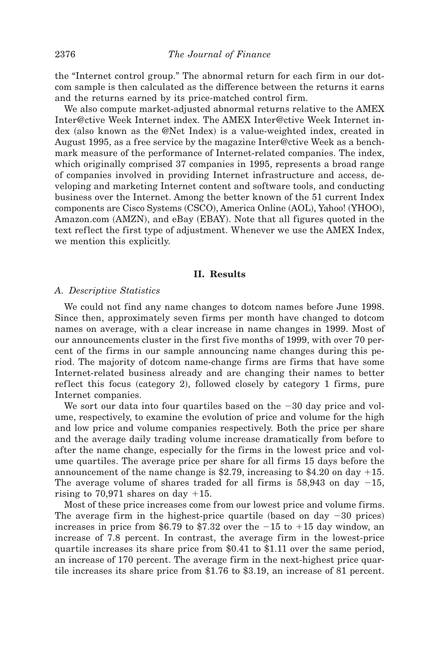the "Internet control group." The abnormal return for each firm in our dotcom sample is then calculated as the difference between the returns it earns and the returns earned by its price-matched control firm.

We also compute market-adjusted abnormal returns relative to the AMEX Inter@ctive Week Internet index. The AMEX Inter@ctive Week Internet index (also known as the @Net Index) is a value-weighted index, created in August 1995, as a free service by the magazine Inter@ctive Week as a benchmark measure of the performance of Internet-related companies. The index, which originally comprised 37 companies in 1995, represents a broad range of companies involved in providing Internet infrastructure and access, developing and marketing Internet content and software tools, and conducting business over the Internet. Among the better known of the 51 current Index components are Cisco Systems (CSCO), America Online (AOL), Yahoo! (YHOO), Amazon.com (AMZN), and eBay (EBAY). Note that all figures quoted in the text reflect the first type of adjustment. Whenever we use the AMEX Index, we mention this explicitly.

# **II. Results**

### *A. Descriptive Statistics*

We could not find any name changes to dotcom names before June 1998. Since then, approximately seven firms per month have changed to dotcom names on average, with a clear increase in name changes in 1999. Most of our announcements cluster in the first five months of 1999, with over 70 percent of the firms in our sample announcing name changes during this period. The majority of dotcom name-change firms are firms that have some Internet-related business already and are changing their names to better reflect this focus (category 2), followed closely by category 1 firms, pure Internet companies.

We sort our data into four quartiles based on the  $-30$  day price and volume, respectively, to examine the evolution of price and volume for the high and low price and volume companies respectively. Both the price per share and the average daily trading volume increase dramatically from before to after the name change, especially for the firms in the lowest price and volume quartiles. The average price per share for all firms 15 days before the announcement of the name change is \$2.79, increasing to \$4.20 on day  $+15$ . The average volume of shares traded for all firms is  $58,943$  on day  $-15$ , rising to 70,971 shares on day  $+15$ .

Most of these price increases come from our lowest price and volume firms. The average firm in the highest-price quartile (based on day  $-30$  prices) increases in price from \$6.79 to \$7.32 over the  $-15$  to  $+15$  day window, an increase of 7.8 percent. In contrast, the average firm in the lowest-price quartile increases its share price from \$0.41 to \$1.11 over the same period, an increase of 170 percent. The average firm in the next-highest price quartile increases its share price from \$1.76 to \$3.19, an increase of 81 percent.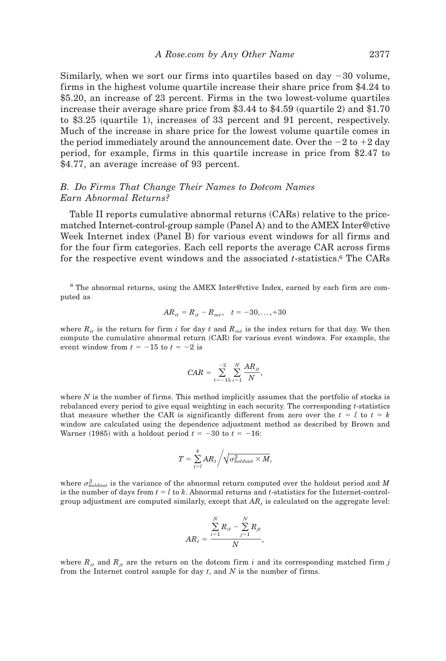Similarly, when we sort our firms into quartiles based on day  $-30$  volume, firms in the highest volume quartile increase their share price from \$4.24 to \$5.20, an increase of 23 percent. Firms in the two lowest-volume quartiles increase their average share price from \$3.44 to \$4.59 (quartile 2) and \$1.70 to \$3.25 (quartile 1), increases of 33 percent and 91 percent, respectively. Much of the increase in share price for the lowest volume quartile comes in the period immediately around the announcement date. Over the  $-2$  to  $+2$  day period, for example, firms in this quartile increase in price from \$2.47 to \$4.77, an average increase of 93 percent.

# *B. Do Firms That Change Their Names to Dotcom Names Earn Abnormal Returns?*

Table II reports cumulative abnormal returns (CARs) relative to the pricematched Internet-control-group sample  $(Pane A)$  and to the AMEX Inter@ctive Week Internet index (Panel B) for various event windows for all firms and for the four firm categories. Each cell reports the average CAR across firms for the respective event windows and the associated *t*-statistics.6 The CARs

<sup>6</sup> The abnormal returns, using the AMEX Inter@ctive Index, earned by each firm are computed as

$$
AR_{it} = R_{it} - R_{mt}, \quad t = -30, \dots, +30
$$

where  $R_{it}$  is the return for firm *i* for day *t* and  $R_{mt}$  is the index return for that day. We then compute the cumulative abnormal return (CAR) for various event windows. For example, the event window from  $t = -15$  to  $t = -2$  is

$$
CAR = \sum_{t=-15}^{-2} \sum_{i=1}^{N} \frac{AR_{it}}{N},
$$

where *N* is the number of firms. This method implicitly assumes that the portfolio of stocks is rebalanced every period to give equal weighting in each security. The corresponding *t*-statistics that measure whether the CAR is significantly different from zero over the  $t = l$  to  $t = k$ window are calculated using the dependence adjustment method as described by Brown and Warner (1985) with a holdout period  $t = -30$  to  $t = -16$ :

$$
T = \sum_{t=l}^{k} AR_t / \sqrt{\sigma_{holdout}^2 \times M},
$$

where  $\sigma_{holdout}^2$  is the variance of the abnormal return computed over the holdout period and  $M$ is the number of days from  $t = l$  to  $k$ . Abnormal returns and  $t$ -statistics for the Internet-controlgroup adjustment are computed similarly, except that  $AR<sub>t</sub>$  is calculated on the aggregate level:

$$
AR_t = \frac{\sum\limits_{i=1}^N R_{it} - \sum\limits_{j=1}^N R_{jt}}{N},
$$

where  $R_{it}$  and  $R_{it}$  are the return on the dotcom firm *i* and its corresponding matched firm *j* from the Internet control sample for day *t*, and *N* is the number of firms.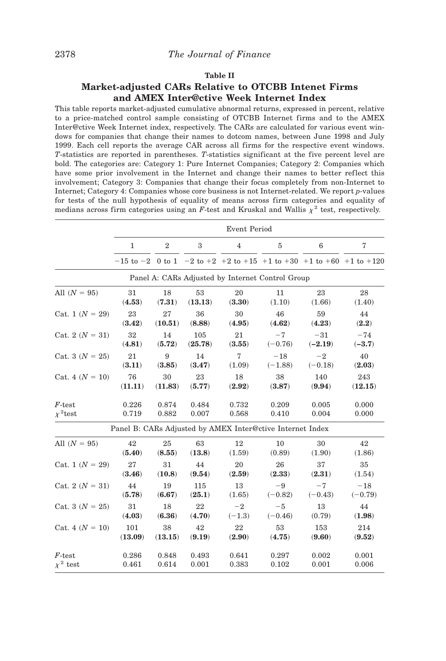#### **Table II**

# **Market-adjusted CARs Relative to OTCBB Intenet Firms and AMEX Inter@ctive Week Internet Index**

This table reports market-adjusted cumulative abnormal returns, expressed in percent, relative to a price-matched control sample consisting of OTCBB Internet firms and to the AMEX Inter@ctive Week Internet index, respectively. The CARs are calculated for various event windows for companies that change their names to dotcom names, between June 1998 and July 1999. Each cell reports the average CAR across all firms for the respective event windows. *T*-statistics are reported in parentheses. *T*-statistics significant at the five percent level are bold. The categories are: Category 1: Pure Internet Companies; Category 2: Companies which have some prior involvement in the Internet and change their names to better reflect this involvement; Category 3: Companies that change their focus completely from non-Internet to Internet; Category 4: Companies whose core business is not Internet-related. We report *p*-values for tests of the null hypothesis of equality of means across firm categories and equality of medians across firm categories using an *F*-test and Kruskal and Wallis  $\chi^2$  test, respectively.

|                     | <b>Event Period</b> |                |         |                |                                                           |           |                                                                                                   |
|---------------------|---------------------|----------------|---------|----------------|-----------------------------------------------------------|-----------|---------------------------------------------------------------------------------------------------|
|                     | $\mathbf{1}$        | $\overline{2}$ | 3       | $\overline{4}$ | 5                                                         | 6         | 7<br>$-15$ to $-2$ 0 to $1$ $-2$ to $+2$ $+2$ to $+15$ $+1$ to $+30$ $+1$ to $+60$ $+1$ to $+120$ |
|                     |                     |                |         |                |                                                           |           |                                                                                                   |
|                     |                     |                |         |                | Panel A: CARs Adjusted by Internet Control Group          |           |                                                                                                   |
| All $(N = 95)$      | 31                  | 18             | 53      | 20             | 11                                                        | 23        | 28                                                                                                |
|                     | (4.53)              | (7.31)         | (13.13) | (3.30)         | (1.10)                                                    | (1.66)    | (1.40)                                                                                            |
| Cat. 1 ( $N = 29$ ) | 23                  | 27             | 36      | 30             | 46                                                        | 59        | 44                                                                                                |
|                     | (3.42)              | (10.51)        | (8.88)  | (4.95)         | (4.62)                                                    | (4.23)    | (2.2)                                                                                             |
| Cat. 2 $(N = 31)$   | 32                  | 14             | 105     | 21             | $-7$                                                      | $-31$     | $-74$                                                                                             |
|                     | (4.81)              | (5.72)         | (25.78) | (3.55)         | $(-0.76)$                                                 | $(-2.19)$ | $(-3.7)$                                                                                          |
| Cat. 3 ( $N = 25$ ) | 21                  | 9              | 14      | $\overline{7}$ | $-18$                                                     | $-2$      | 40                                                                                                |
|                     | (3.11)              | (3.85)         | (3.47)  | (1.09)         | $(-1.88)$                                                 | $(-0.18)$ | (2.03)                                                                                            |
| Cat. 4 ( $N = 10$ ) | 76                  | 30             | 23      | 18             | 38                                                        | 140       | 243                                                                                               |
|                     | (11.11)             | (11.83)        | (5.77)  | (2.92)         | (3.87)                                                    | (9.94)    | (12.15)                                                                                           |
| $F$ -test           | 0.226               | 0.874          | 0.484   | 0.732          | 0.209                                                     | 0.005     | 0.000                                                                                             |
| $\chi^2$ test       | 0.719               | 0.882          | 0.007   | 0.568          | 0.410                                                     | 0.004     | 0.000                                                                                             |
|                     |                     |                |         |                | Panel B: CARs Adjusted by AMEX Inter@ctive Internet Index |           |                                                                                                   |
| All $(N = 95)$      | 42                  | 25             | 63      | 12             | $10\,$                                                    | 30        | 42                                                                                                |
|                     | (5.40)              | (8.55)         | (13.8)  | (1.59)         | (0.89)                                                    | (1.90)    | (1.86)                                                                                            |
| Cat. 1 ( $N = 29$ ) | 27                  | 31             | 44      | 20             | 26                                                        | 37        | 35                                                                                                |
|                     | (3.46)              | (10.8)         | (9.54)  | (2.59)         | (2.33)                                                    | (2.31)    | (1.54)                                                                                            |
| Cat. 2 ( $N = 31$ ) | 44                  | 19             | 115     | 13             | $-9$                                                      | $-7$      | $-18$                                                                                             |
|                     | (5.78)              | (6.67)         | (25.1)  | (1.65)         | $(-0.82)$                                                 | $(-0.43)$ | $(-0.79)$                                                                                         |
| Cat. 3 ( $N = 25$ ) | 31                  | 18             | 22      | $-2$           | $-5$                                                      | 13        | 44                                                                                                |
|                     | (4.03)              | (6.36)         | (4.70)  | $(-1.3)$       | $(-0.46)$                                                 | (0.79)    | (1.98)                                                                                            |
| Cat. 4 ( $N = 10$ ) | 101                 | 38             | 42      | 22             | 53                                                        | 153       | 214                                                                                               |
|                     | (13.09)             | (13.15)        | (9.19)  | (2.90)         | (4.75)                                                    | (9.60)    | (9.52)                                                                                            |
| $F$ -test           | 0.286               | 0.848          | 0.493   | 0.641          | 0.297                                                     | 0.002     | 0.001                                                                                             |
| $\chi^2$ test       | 0.461               | 0.614          | 0.001   | 0.383          | 0.102                                                     | 0.001     | 0.006                                                                                             |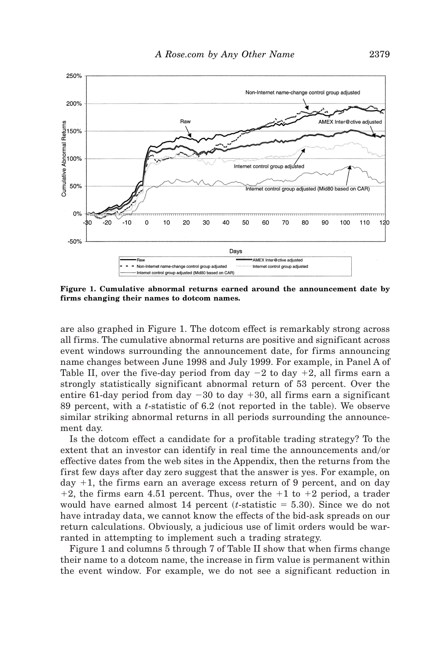

**Figure 1. Cumulative abnormal returns earned around the announcement date by firms changing their names to dotcom names.**

are also graphed in Figure 1. The dotcom effect is remarkably strong across all firms. The cumulative abnormal returns are positive and significant across event windows surrounding the announcement date, for firms announcing name changes between June 1998 and July 1999. For example, in Panel A of Table II, over the five-day period from day  $-2$  to day  $+2$ , all firms earn a strongly statistically significant abnormal return of 53 percent. Over the entire 61-day period from day –30 to day +30, all firms earn a significant 89 percent, with a  $t$ -statistic of 6.2 (not reported in the table). We observe similar striking abnormal returns in all periods surrounding the announcement day.

Is the dotcom effect a candidate for a profitable trading strategy? To the extent that an investor can identify in real time the announcements and/or effective dates from the web sites in the Appendix, then the returns from the first few days after day zero suggest that the answer is yes. For example, on day  $+1$ , the firms earn an average excess return of 9 percent, and on day  $+2$ , the firms earn 4.51 percent. Thus, over the  $+1$  to  $+2$  period, a trader would have earned almost 14 percent  $(t\text{-statistic} = 5.30)$ . Since we do not have intraday data, we cannot know the effects of the bid-ask spreads on our return calculations. Obviously, a judicious use of limit orders would be warranted in attempting to implement such a trading strategy.

Figure 1 and columns 5 through 7 of Table II show that when firms change their name to a dotcom name, the increase in firm value is permanent within the event window. For example, we do not see a significant reduction in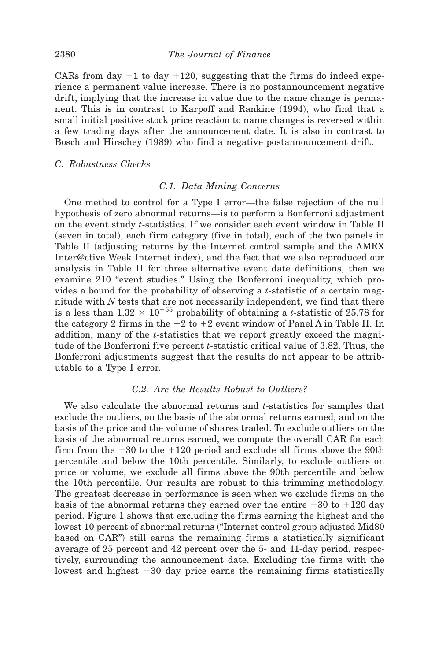CARs from day  $+1$  to day  $+120$ , suggesting that the firms do indeed experience a permanent value increase. There is no postannouncement negative drift, implying that the increase in value due to the name change is permanent. This is in contrast to Karpoff and Rankine (1994), who find that a small initial positive stock price reaction to name changes is reversed within a few trading days after the announcement date. It is also in contrast to Bosch and Hirschey (1989) who find a negative postannouncement drift.

# *C. Robustness Checks*

#### *C.1. Data Mining Concerns*

One method to control for a Type I error—the false rejection of the null hypothesis of zero abnormal returns—is to perform a Bonferroni adjustment on the event study *t*-statistics. If we consider each event window in Table II (seven in total), each firm category (five in total), each of the two panels in Table II (adjusting returns by the Internet control sample and the AMEX Inter@ctive Week Internet index), and the fact that we also reproduced our analysis in Table II for three alternative event date definitions, then we examine 210 "event studies." Using the Bonferroni inequality, which provides a bound for the probability of observing a *t*-statistic of a certain magnitude with *N* tests that are not necessarily independent, we find that there is a less than  $1.32 \times 10^{-55}$  probability of obtaining a *t*-statistic of 25.78 for the category 2 firms in the  $-2$  to  $+2$  event window of Panel A in Table II. In addition, many of the *t*-statistics that we report greatly exceed the magnitude of the Bonferroni five percent *t*-statistic critical value of 3.82. Thus, the Bonferroni adjustments suggest that the results do not appear to be attributable to a Type I error.

#### *C.2. Are the Results Robust to Outliers?*

We also calculate the abnormal returns and *t*-statistics for samples that exclude the outliers, on the basis of the abnormal returns earned, and on the basis of the price and the volume of shares traded. To exclude outliers on the basis of the abnormal returns earned, we compute the overall CAR for each firm from the  $-30$  to the  $+120$  period and exclude all firms above the  $90th$ percentile and below the 10th percentile. Similarly, to exclude outliers on price or volume, we exclude all firms above the 90th percentile and below the 10th percentile. Our results are robust to this trimming methodology. The greatest decrease in performance is seen when we exclude firms on the basis of the abnormal returns they earned over the entire  $-30$  to  $+120$  day period. Figure 1 shows that excluding the firms earning the highest and the lowest 10 percent of abnormal returns ("Internet control group adjusted Mid80") based on CAR") still earns the remaining firms a statistically significant average of 25 percent and 42 percent over the 5- and 11-day period, respectively, surrounding the announcement date. Excluding the firms with the lowest and highest -30 day price earns the remaining firms statistically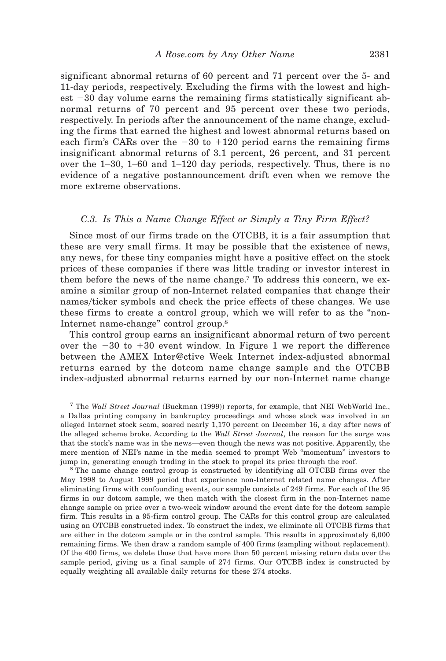significant abnormal returns of 60 percent and 71 percent over the 5- and 11-day periods, respectively. Excluding the firms with the lowest and highest -30 day volume earns the remaining firms statistically significant abnormal returns of 70 percent and 95 percent over these two periods, respectively. In periods after the announcement of the name change, excluding the firms that earned the highest and lowest abnormal returns based on each firm's CARs over the  $-30$  to  $+120$  period earns the remaining firms insignificant abnormal returns of 3.1 percent, 26 percent, and 31 percent over the 1–30, 1–60 and 1–120 day periods, respectively. Thus, there is no evidence of a negative postannouncement drift even when we remove the more extreme observations.

### *C.3. Is This a Name Change Effect or Simply a Tiny Firm Effect?*

Since most of our firms trade on the OTCBB, it is a fair assumption that these are very small firms. It may be possible that the existence of news, any news, for these tiny companies might have a positive effect on the stock prices of these companies if there was little trading or investor interest in them before the news of the name change.7 To address this concern, we examine a similar group of non-Internet related companies that change their names/ticker symbols and check the price effects of these changes. We use these firms to create a control group, which we will refer to as the "non-Internet name-change" control group.8

This control group earns an insignificant abnormal return of two percent over the  $-30$  to  $+30$  event window. In Figure 1 we report the difference between the AMEX Inter@ctive Week Internet index-adjusted abnormal returns earned by the dotcom name change sample and the OTCBB index-adjusted abnormal returns earned by our non-Internet name change

<sup>7</sup> The *Wall Street Journal* (Buckman (1999)) reports, for example, that NEI WebWorld Inc., a Dallas printing company in bankruptcy proceedings and whose stock was involved in an alleged Internet stock scam, soared nearly 1,170 percent on December 16, a day after news of the alleged scheme broke. According to the *Wall Street Journal*, the reason for the surge was that the stock's name was in the news—even though the news was not positive. Apparently, the mere mention of NEI's name in the media seemed to prompt Web "momentum" investors to jump in, generating enough trading in the stock to propel its price through the roof.

<sup>8</sup> The name change control group is constructed by identifying all OTCBB firms over the May 1998 to August 1999 period that experience non-Internet related name changes. After eliminating firms with confounding events, our sample consists of 249 firms. For each of the 95 firms in our dotcom sample, we then match with the closest firm in the non-Internet name change sample on price over a two-week window around the event date for the dotcom sample firm. This results in a 95-firm control group. The CARs for this control group are calculated using an OTCBB constructed index. To construct the index, we eliminate all OTCBB firms that are either in the dotcom sample or in the control sample. This results in approximately 6,000 remaining firms. We then draw a random sample of 400 firms (sampling without replacement). Of the 400 firms, we delete those that have more than 50 percent missing return data over the sample period, giving us a final sample of 274 firms. Our OTCBB index is constructed by equally weighting all available daily returns for these 274 stocks.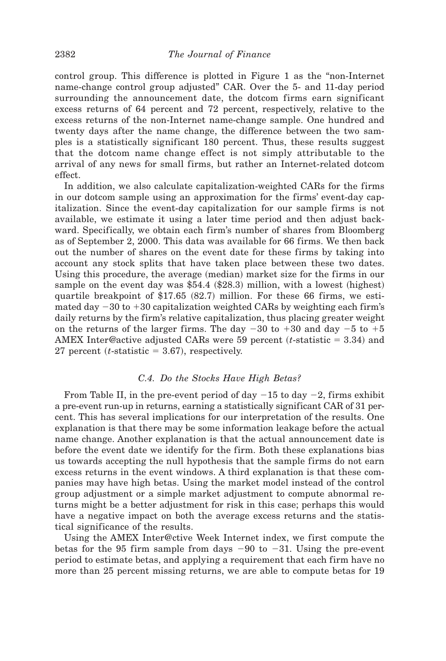control group. This difference is plotted in Figure 1 as the "non-Internet name-change control group adjusted" CAR. Over the 5- and 11-day period surrounding the announcement date, the dotcom firms earn significant excess returns of 64 percent and 72 percent, respectively, relative to the excess returns of the non-Internet name-change sample. One hundred and twenty days after the name change, the difference between the two samples is a statistically significant 180 percent. Thus, these results suggest that the dotcom name change effect is not simply attributable to the arrival of any news for small firms, but rather an Internet-related dotcom effect.

In addition, we also calculate capitalization-weighted CARs for the firms in our dotcom sample using an approximation for the firms' event-day capitalization. Since the event-day capitalization for our sample firms is not available, we estimate it using a later time period and then adjust backward. Specifically, we obtain each firm's number of shares from Bloomberg as of September 2, 2000. This data was available for 66 firms. We then back out the number of shares on the event date for these firms by taking into account any stock splits that have taken place between these two dates. Using this procedure, the average (median) market size for the firms in our sample on the event day was  $$54.4$   $(\$28.3)$  million, with a lowest (highest) quartile breakpoint of  $$17.65$   $(82.7)$  million. For these 66 firms, we estimated day  $-30$  to  $+30$  capitalization weighted CARs by weighting each firm's daily returns by the firm's relative capitalization, thus placing greater weight on the returns of the larger firms. The day  $-30$  to  $+30$  and day  $-5$  to  $+5$ AMEX Inter@active adjusted CARs were 59 percent  $(t\text{-statistic} = 3.34)$  and 27 percent  $(t\text{-statistic} = 3.67)$ , respectively.

#### *C.4. Do the Stocks Have High Betas?*

From Table II, in the pre-event period of day  $-15$  to day  $-2$ , firms exhibit a pre-event run-up in returns, earning a statistically significant CAR of 31 percent. This has several implications for our interpretation of the results. One explanation is that there may be some information leakage before the actual name change. Another explanation is that the actual announcement date is before the event date we identify for the firm. Both these explanations bias us towards accepting the null hypothesis that the sample firms do not earn excess returns in the event windows. A third explanation is that these companies may have high betas. Using the market model instead of the control group adjustment or a simple market adjustment to compute abnormal returns might be a better adjustment for risk in this case; perhaps this would have a negative impact on both the average excess returns and the statistical significance of the results.

Using the AMEX Inter@ctive Week Internet index, we first compute the betas for the 95 firm sample from days  $-90$  to  $-31$ . Using the pre-event period to estimate betas, and applying a requirement that each firm have no more than 25 percent missing returns, we are able to compute betas for 19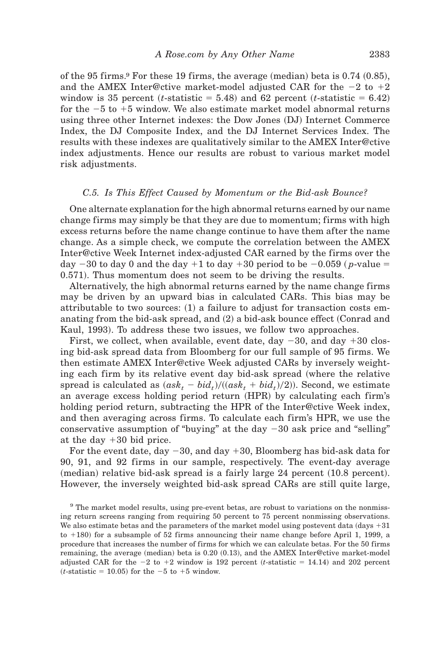of the 95 firms.<sup>9</sup> For these 19 firms, the average (median) beta is 0.74  $(0.85)$ , and the AMEX Inter@ctive market-model adjusted CAR for the  $-2$  to  $+2$ window is 35 percent  $(t\text{-statistic} = 5.48)$  and 62 percent  $(t\text{-statistic} = 6.42)$ for the  $-5$  to  $+5$  window. We also estimate market model abnormal returns using three other Internet indexes: the Dow Jones (DJ) Internet Commerce Index, the DJ Composite Index, and the DJ Internet Services Index. The results with these indexes are qualitatively similar to the AMEX Inter@ctive index adjustments. Hence our results are robust to various market model risk adjustments.

#### *C.5. Is This Effect Caused by Momentum or the Bid-ask Bounce?*

One alternate explanation for the high abnormal returns earned by our name change firms may simply be that they are due to momentum; firms with high excess returns before the name change continue to have them after the name change. As a simple check, we compute the correlation between the AMEX Inter@ctive Week Internet index-adjusted CAR earned by the firms over the day  $-30$  to day 0 and the day  $+1$  to day  $+30$  period to be  $-0.059$  (p-value =  $(0.571)$ . Thus momentum does not seem to be driving the results.

Alternatively, the high abnormal returns earned by the name change firms may be driven by an upward bias in calculated CARs. This bias may be attributable to two sources:  $(1)$  a failure to adjust for transaction costs emanating from the bid-ask spread, and  $(2)$  a bid-ask bounce effect (Conrad and Kaul, 1993). To address these two issues, we follow two approaches.

First, we collect, when available, event date, day  $-30$ , and day  $+30$  closing bid-ask spread data from Bloomberg for our full sample of 95 firms. We then estimate AMEX Inter@ctive Week adjusted CARs by inversely weighting each firm by its relative event day bid-ask spread (where the relative  $s$ pread is calculated as  $(ask_t - bid_t) / ((ask_t + bid_t)/2)$ ). Second, we estimate an average excess holding period return (HPR) by calculating each firm's holding period return, subtracting the HPR of the Inter@ctive Week index, and then averaging across firms. To calculate each firm's HPR, we use the conservative assumption of "buying" at the day -30 ask price and "selling" at the day  $+30$  bid price.

For the event date, day  $-30$ , and day  $+30$ , Bloomberg has bid-ask data for 90, 91, and 92 firms in our sample, respectively. The event-day average  $(median)$  relative bid-ask spread is a fairly large 24 percent  $(10.8$  percent). However, the inversely weighted bid-ask spread CARs are still quite large,

<sup>&</sup>lt;sup>9</sup> The market model results, using pre-event betas, are robust to variations on the nonmissing return screens ranging from requiring 50 percent to 75 percent nonmissing observations. We also estimate betas and the parameters of the market model using postevent data  $(\text{days} + 31)$ to  $+180$  for a subsample of 52 firms announcing their name change before April 1, 1999, a procedure that increases the number of firms for which we can calculate betas. For the 50 firms remaining, the average (median) beta is  $0.20~(0.13)$ , and the AMEX Inter@ctive market-model adjusted CAR for the  $-2$  to  $+2$  window is 192 percent (*t*-statistic  $= 14.14$ ) and 202 percent  $(t\text{-statistic} = 10.05)$  for the  $-5$  to  $+5$  window.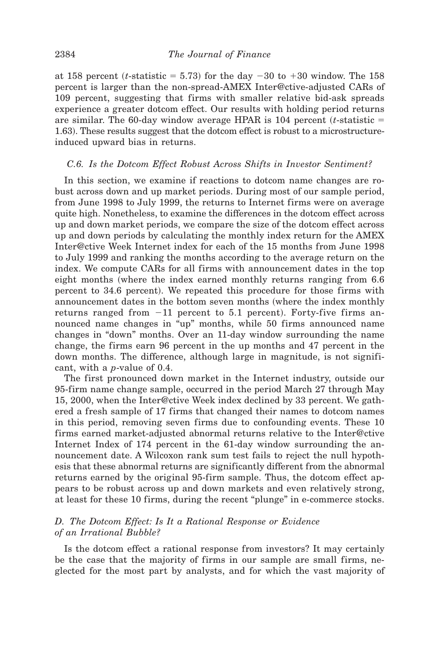at 158 percent (*t*-statistic  $= 5.73$ ) for the day  $-30$  to  $+30$  window. The 158 percent is larger than the non-spread-AMEX Inter@ctive-adjusted CARs of 109 percent, suggesting that firms with smaller relative bid-ask spreads experience a greater dotcom effect. Our results with holding period returns are similar. The 60-day window average HPAR is  $104$  percent (*t*-statistic = 1.63). These results suggest that the dotcom effect is robust to a microstructureinduced upward bias in returns.

#### *C.6. Is the Dotcom Effect Robust Across Shifts in Investor Sentiment?*

In this section, we examine if reactions to dotcom name changes are robust across down and up market periods. During most of our sample period, from June 1998 to July 1999, the returns to Internet firms were on average quite high. Nonetheless, to examine the differences in the dotcom effect across up and down market periods, we compare the size of the dotcom effect across up and down periods by calculating the monthly index return for the AMEX Inter@ctive Week Internet index for each of the 15 months from June 1998 to July 1999 and ranking the months according to the average return on the index. We compute CARs for all firms with announcement dates in the top eight months (where the index earned monthly returns ranging from  $6.6$ percent to 34.6 percent). We repeated this procedure for those firms with announcement dates in the bottom seven months (where the index monthly returns ranged from  $-11$  percent to 5.1 percent). Forty-five firms announced name changes in "up" months, while 50 firms announced name changes in "down" months. Over an 11-day window surrounding the name change, the firms earn 96 percent in the up months and 47 percent in the down months. The difference, although large in magnitude, is not significant, with a *p*-value of 0.4.

The first pronounced down market in the Internet industry, outside our 95-firm name change sample, occurred in the period March 27 through May 15, 2000, when the Inter@ctive Week index declined by 33 percent. We gathered a fresh sample of 17 firms that changed their names to dotcom names in this period, removing seven firms due to confounding events. These 10 firms earned market-adjusted abnormal returns relative to the Inter@ctive Internet Index of 174 percent in the 61-day window surrounding the announcement date. A Wilcoxon rank sum test fails to reject the null hypothesis that these abnormal returns are significantly different from the abnormal returns earned by the original 95-firm sample. Thus, the dotcom effect appears to be robust across up and down markets and even relatively strong, at least for these 10 firms, during the recent "plunge" in e-commerce stocks.

# *D. The Dotcom Effect: Is It a Rational Response or Evidence of an Irrational Bubble?*

Is the dotcom effect a rational response from investors? It may certainly be the case that the majority of firms in our sample are small firms, neglected for the most part by analysts, and for which the vast majority of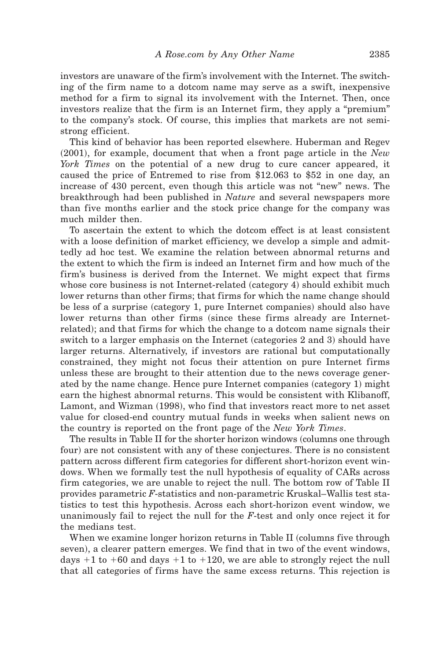investors are unaware of the firm's involvement with the Internet. The switching of the firm name to a dotcom name may serve as a swift, inexpensive method for a firm to signal its involvement with the Internet. Then, once investors realize that the firm is an Internet firm, they apply a "premium" to the company's stock. Of course, this implies that markets are not semistrong efficient.

This kind of behavior has been reported elsewhere. Huberman and Regev ~2001!, for example, document that when a front page article in the *New York Times* on the potential of a new drug to cure cancer appeared, it caused the price of Entremed to rise from \$12.063 to \$52 in one day, an increase of 430 percent, even though this article was not "new" news. The breakthrough had been published in *Nature* and several newspapers more than five months earlier and the stock price change for the company was much milder then.

To ascertain the extent to which the dotcom effect is at least consistent with a loose definition of market efficiency, we develop a simple and admittedly ad hoc test. We examine the relation between abnormal returns and the extent to which the firm is indeed an Internet firm and how much of the firm's business is derived from the Internet. We might expect that firms whose core business is not Internet-related  $(category 4)$  should exhibit much lower returns than other firms; that firms for which the name change should be less of a surprise (category 1, pure Internet companies) should also have lower returns than other firms (since these firms already are Internetrelated); and that firms for which the change to a dotcom name signals their switch to a larger emphasis on the Internet (categories  $2$  and  $3$ ) should have larger returns. Alternatively, if investors are rational but computationally constrained, they might not focus their attention on pure Internet firms unless these are brought to their attention due to the news coverage generated by the name change. Hence pure Internet companies (category 1) might earn the highest abnormal returns. This would be consistent with Klibanoff, Lamont, and Wizman  $(1998)$ , who find that investors react more to net asset value for closed-end country mutual funds in weeks when salient news on the country is reported on the front page of the *New York Times*.

The results in Table II for the shorter horizon windows (columns one through four) are not consistent with any of these conjectures. There is no consistent pattern across different firm categories for different short-horizon event windows. When we formally test the null hypothesis of equality of CARs across firm categories, we are unable to reject the null. The bottom row of Table II provides parametric *F*-statistics and non-parametric Kruskal–Wallis test statistics to test this hypothesis. Across each short-horizon event window, we unanimously fail to reject the null for the *F*-test and only once reject it for the medians test.

When we examine longer horizon returns in Table II (columns five through seven), a clearer pattern emerges. We find that in two of the event windows, days  $+1$  to  $+60$  and days  $+1$  to  $+120$ , we are able to strongly reject the null that all categories of firms have the same excess returns. This rejection is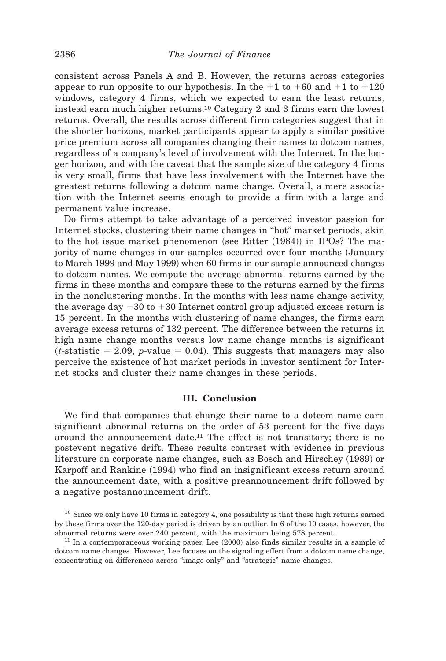consistent across Panels A and B. However, the returns across categories appear to run opposite to our hypothesis. In the  $+1$  to  $+60$  and  $+1$  to  $+120$ windows, category 4 firms, which we expected to earn the least returns, instead earn much higher returns.10 Category 2 and 3 firms earn the lowest returns. Overall, the results across different firm categories suggest that in the shorter horizons, market participants appear to apply a similar positive price premium across all companies changing their names to dotcom names, regardless of a company's level of involvement with the Internet. In the longer horizon, and with the caveat that the sample size of the category 4 firms is very small, firms that have less involvement with the Internet have the greatest returns following a dotcom name change. Overall, a mere association with the Internet seems enough to provide a firm with a large and permanent value increase.

Do firms attempt to take advantage of a perceived investor passion for Internet stocks, clustering their name changes in "hot" market periods, akin to the hot issue market phenomenon (see Ritter  $(1984)$ ) in IPOs? The majority of name changes in our samples occurred over four months (January to March 1999 and May 1999) when 60 firms in our sample announced changes to dotcom names. We compute the average abnormal returns earned by the firms in these months and compare these to the returns earned by the firms in the nonclustering months. In the months with less name change activity, the average day  $-30$  to  $+30$  Internet control group adjusted excess return is 15 percent. In the months with clustering of name changes, the firms earn average excess returns of 132 percent. The difference between the returns in high name change months versus low name change months is significant  $(t\text{-statistic} = 2.09, p\text{-value} = 0.04).$  This suggests that managers may also perceive the existence of hot market periods in investor sentiment for Internet stocks and cluster their name changes in these periods.

# **III. Conclusion**

We find that companies that change their name to a dotcom name earn significant abnormal returns on the order of 53 percent for the five days around the announcement date.11 The effect is not transitory; there is no postevent negative drift. These results contrast with evidence in previous literature on corporate name changes, such as Bosch and Hirschey (1989) or Karpoff and Rankine (1994) who find an insignificant excess return around the announcement date, with a positive preannouncement drift followed by a negative postannouncement drift.

 $10$  Since we only have 10 firms in category 4, one possibility is that these high returns earned by these firms over the 120-day period is driven by an outlier. In 6 of the 10 cases, however, the abnormal returns were over 240 percent, with the maximum being 578 percent.

 $11$  In a contemporaneous working paper, Lee  $(2000)$  also finds similar results in a sample of dotcom name changes. However, Lee focuses on the signaling effect from a dotcom name change, concentrating on differences across "image-only" and "strategic" name changes.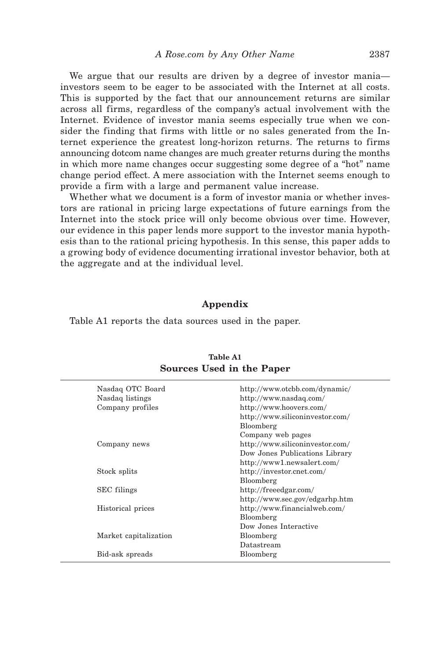We argue that our results are driven by a degree of investor mania investors seem to be eager to be associated with the Internet at all costs. This is supported by the fact that our announcement returns are similar across all firms, regardless of the company's actual involvement with the Internet. Evidence of investor mania seems especially true when we consider the finding that firms with little or no sales generated from the Internet experience the greatest long-horizon returns. The returns to firms announcing dotcom name changes are much greater returns during the months in which more name changes occur suggesting some degree of a "hot" name change period effect. A mere association with the Internet seems enough to provide a firm with a large and permanent value increase.

Whether what we document is a form of investor mania or whether investors are rational in pricing large expectations of future earnings from the Internet into the stock price will only become obvious over time. However, our evidence in this paper lends more support to the investor mania hypothesis than to the rational pricing hypothesis. In this sense, this paper adds to a growing body of evidence documenting irrational investor behavior, both at the aggregate and at the individual level.

# **Appendix**

Table A1 reports the data sources used in the paper.

| Nasdaq OTC Board      | http://www.otcbb.com/dynamic/   |
|-----------------------|---------------------------------|
| Nasdaq listings       | http://www.nasdaq.com/          |
| Company profiles      | http://www.hoovers.com/         |
|                       | http://www.siliconinvestor.com/ |
|                       | Bloomberg                       |
|                       | Company web pages               |
| Company news          | http://www.siliconinvestor.com/ |
|                       | Dow Jones Publications Library  |
|                       | http://www1.newsalert.com/      |
| Stock splits          | http://investor.cnet.com/       |
|                       | Bloomberg                       |
| SEC filings           | http://freeedgar.com/           |
|                       | http://www.sec.gov/edgarhp.htm  |
| Historical prices     | http://www.financialweb.com/    |
|                       | Bloomberg                       |
|                       | Dow Jones Interactive           |
| Market capitalization | Bloomberg                       |
|                       | Datastream                      |
| Bid-ask spreads       | Bloomberg                       |
|                       |                                 |

**Table A1 Sources Used in the Paper**